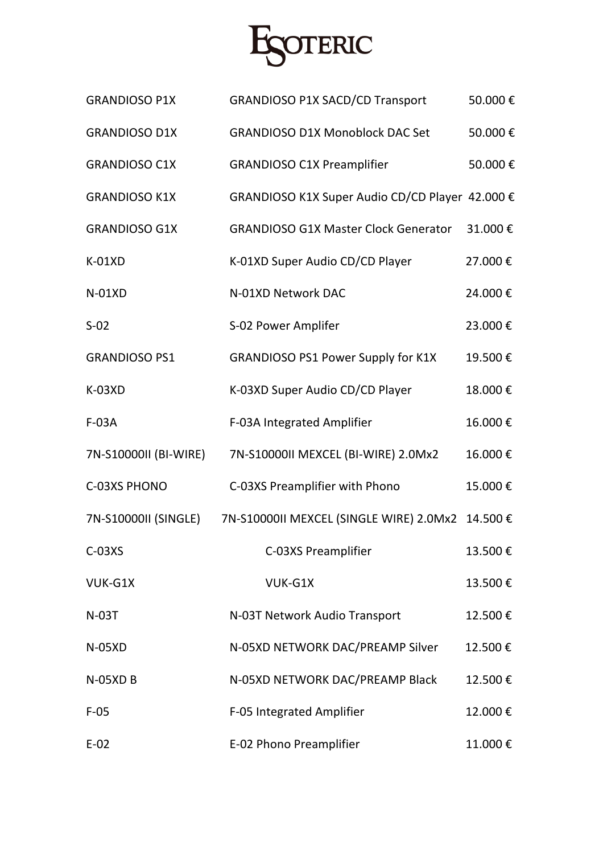

| <b>GRANDIOSO P1X</b>  | <b>GRANDIOSO P1X SACD/CD Transport</b>           | 50.000€ |
|-----------------------|--------------------------------------------------|---------|
| <b>GRANDIOSO D1X</b>  | <b>GRANDIOSO D1X Monoblock DAC Set</b>           | 50.000€ |
| <b>GRANDIOSO C1X</b>  | <b>GRANDIOSO C1X Preamplifier</b>                | 50.000€ |
| <b>GRANDIOSO K1X</b>  | GRANDIOSO K1X Super Audio CD/CD Player 42.000 €  |         |
| <b>GRANDIOSO G1X</b>  | <b>GRANDIOSO G1X Master Clock Generator</b>      | 31.000€ |
| $K-01XD$              | K-01XD Super Audio CD/CD Player                  | 27.000€ |
| $N-01XD$              | N-01XD Network DAC                               | 24.000€ |
| $S-02$                | S-02 Power Amplifer                              | 23.000€ |
| <b>GRANDIOSO PS1</b>  | <b>GRANDIOSO PS1 Power Supply for K1X</b>        | 19.500€ |
| $K-03XD$              | K-03XD Super Audio CD/CD Player                  | 18.000€ |
| $F-03A$               | F-03A Integrated Amplifier                       | 16.000€ |
| 7N-S10000II (BI-WIRE) | 7N-S10000II MEXCEL (BI-WIRE) 2.0Mx2              | 16.000€ |
| C-03XS PHONO          | C-03XS Preamplifier with Phono                   | 15.000€ |
| 7N-S10000II (SINGLE)  | 7N-S10000II MEXCEL (SINGLE WIRE) 2.0Mx2 14.500 € |         |
| $C-03XS$              | C-03XS Preamplifier                              | 13.500€ |
| VUK-G1X               | VUK-G1X                                          | 13.500€ |
| <b>N-03T</b>          | N-03T Network Audio Transport                    | 12.500€ |
| $N-05XD$              | N-05XD NETWORK DAC/PREAMP Silver                 | 12.500€ |
| <b>N-05XD B</b>       | N-05XD NETWORK DAC/PREAMP Black                  | 12.500€ |
| $F-05$                | F-05 Integrated Amplifier                        | 12.000€ |
| $E-02$                | E-02 Phono Preamplifier                          | 11.000€ |